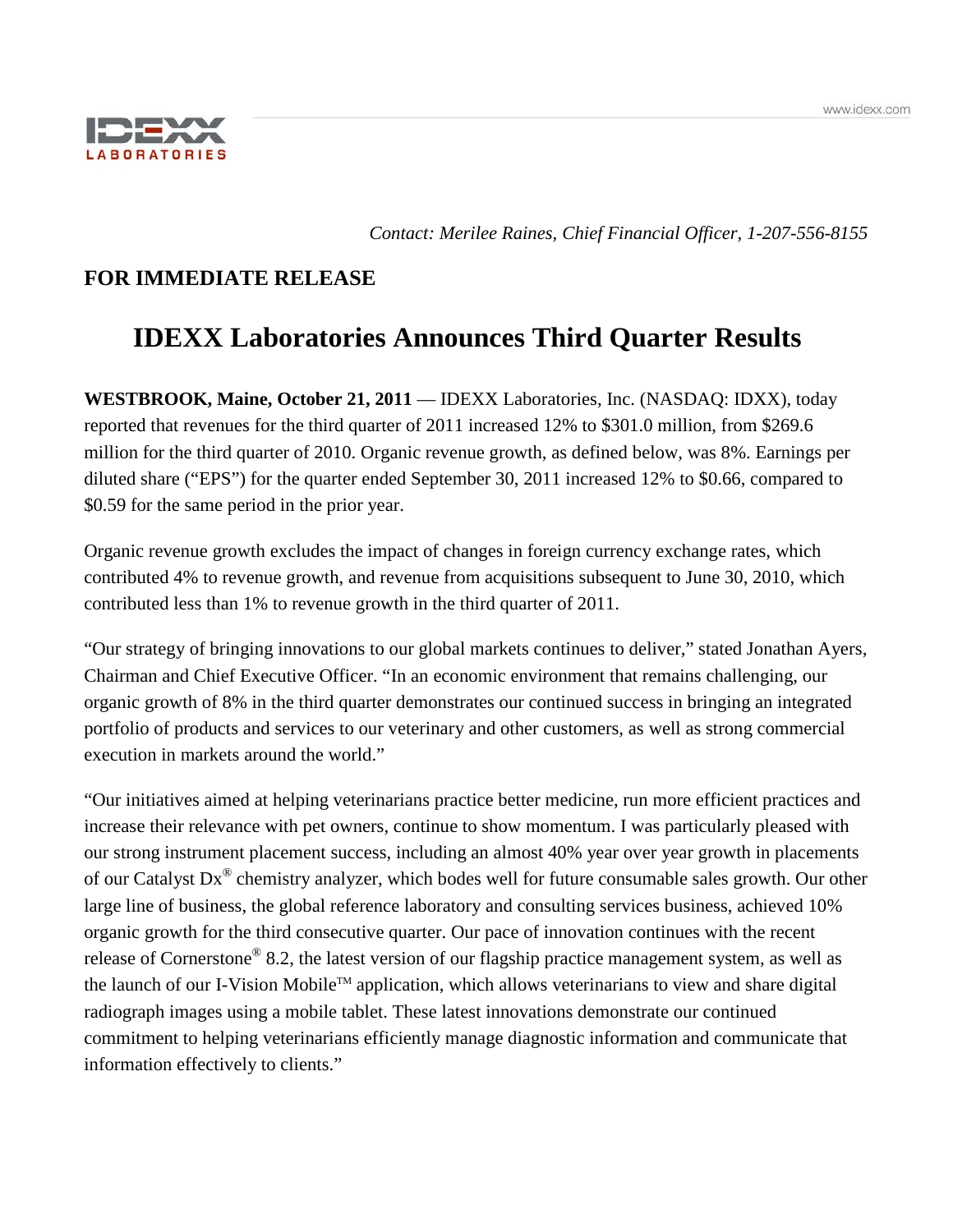

*Contact: Merilee Raines, Chief Financial Officer, 1-207-556-8155*

## **FOR IMMEDIATE RELEASE**

# **IDEXX Laboratories Announces Third Quarter Results**

**WESTBROOK, Maine, October 21, 2011** — IDEXX Laboratories, Inc. (NASDAQ: IDXX), today reported that revenues for the third quarter of 2011 increased 12% to \$301.0 million, from \$269.6 million for the third quarter of 2010. Organic revenue growth, as defined below, was 8%. Earnings per diluted share ("EPS") for the quarter ended September 30, 2011 increased 12% to \$0.66, compared to \$0.59 for the same period in the prior year.

Organic revenue growth excludes the impact of changes in foreign currency exchange rates, which contributed 4% to revenue growth, and revenue from acquisitions subsequent to June 30, 2010, which contributed less than 1% to revenue growth in the third quarter of 2011.

"Our strategy of bringing innovations to our global markets continues to deliver," stated Jonathan Ayers, Chairman and Chief Executive Officer. "In an economic environment that remains challenging, our organic growth of 8% in the third quarter demonstrates our continued success in bringing an integrated portfolio of products and services to our veterinary and other customers, as well as strong commercial execution in markets around the world."

<span id="page-0-0"></span>"Our initiatives aimed at helping veterinarians practice better medicine, run more efficient practices and increase their relevance with pet owners, continue to show momentum. I was particularly pleased with our strong instrument placement success, including an almost 40% year over year growth in placements of our Catalyst Dx® chemistry analyzer, which bodes well for future consumable sales growth. Our other large line of business, the global reference laboratory and consulting services business, achieved 10% organic growth for the third consecutive quarter. Our pace of innovation continues with the recent release of Cornerstone® 8.2, the latest version of our flagship practice management system, as well as the launch of our I-Vision Mobile™ application, which allows veterinarians to view and share digital radiograph images using a mobile tablet. These latest innovations demonstrate our continued commitment to helping veterinarians efficiently manage diagnostic information and communicate that information effectively to clients."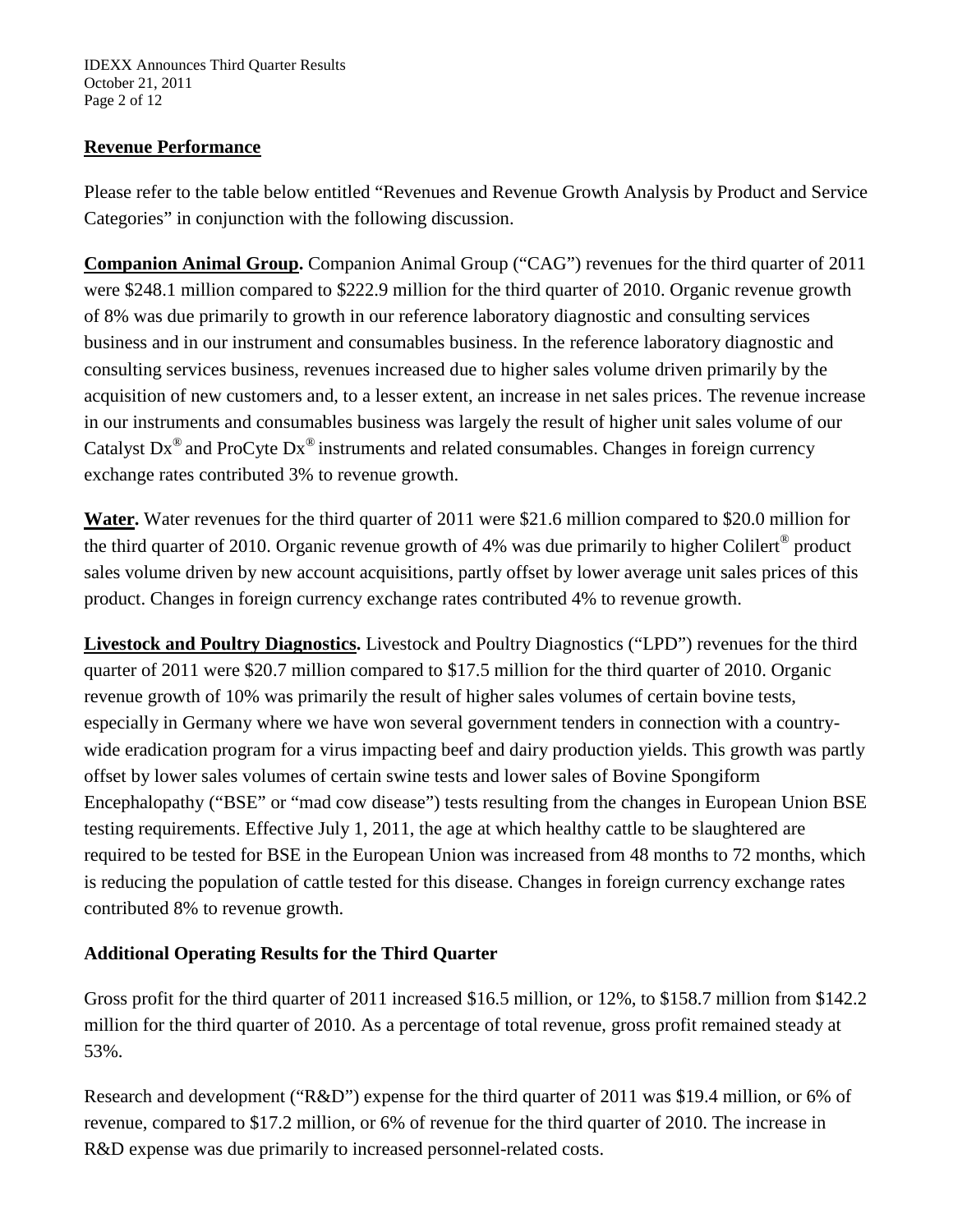### **Revenue Performance**

Please refer to the table below entitled "Revenues and Revenue Growth Analysis by Product and Service Categories" in conjunction with the following discussion.

**Companion Animal Group.** Companion Animal Group ("CAG") revenues for the third quarter of 2011 were \$248.1 million compared to \$222.9 million for the third quarter of 2010. Organic revenue growth of 8% was due primarily to growth in our reference laboratory diagnostic and consulting services business and in our instrument and consumables business. In the reference laboratory diagnostic and consulting services business, revenues increased due to higher sales volume driven primarily by the acquisition of new customers and, to a lesser extent, an increase in net sales prices. The revenue increase in our instruments and consumables business was largely the result of higher unit sales volume of our Catalyst  $Dx^{\circledast}$  and ProCyte  $Dx^{\circledast}$  instruments and related consumables. Changes in foreign currency exchange rates contributed 3% to revenue growth.

**Water.** Water revenues for the third quarter of 2011 were \$21.6 million compared to \$20.0 million for the third quarter of 2010. Organic revenue growth of 4% was due primarily to higher Colilert® product sales volume driven by new account acquisitions, partly offset by lower average unit sales prices of this product. Changes in foreign currency exchange rates contributed 4% to revenue growth.

**Livestock and Poultry Diagnostics.** Livestock and Poultry Diagnostics ("LPD") revenues for the third quarter of 2011 were \$20.7 million compared to \$17.5 million for the third quarter of 2010. Organic revenue growth of 10% was primarily the result of higher sales volumes of certain bovine tests, especially in Germany where we have won several government tenders in connection with a countrywide eradication program for a virus impacting beef and dairy production yields. This growth was partly offset by lower sales volumes of certain swine tests and lower sales of Bovine Spongiform Encephalopathy ("BSE" or "mad cow disease") tests resulting from the changes in European Union BSE testing requirements. Effective July 1, 2011, the age at which healthy cattle to be slaughtered are required to be tested for BSE in the European Union was increased from 48 months to 72 months, which is reducing the population of cattle tested for this disease. Changes in foreign currency exchange rates contributed 8% to revenue growth.

### **Additional Operating Results for the Third Quarter**

Gross profit for the third quarter of 2011 increased \$16.5 million, or 12%, to \$158.7 million from \$142.2 million for the third quarter of 2010. As a percentage of total revenue, gross profit remained steady at 53%.

Research and development ("R&D") expense for the third quarter of 2011 was \$19.4 million, or 6% of revenue, compared to \$17.2 million, or 6% of revenue for the third quarter of 2010. The increase in R&D expense was due primarily to increased personnel-related costs.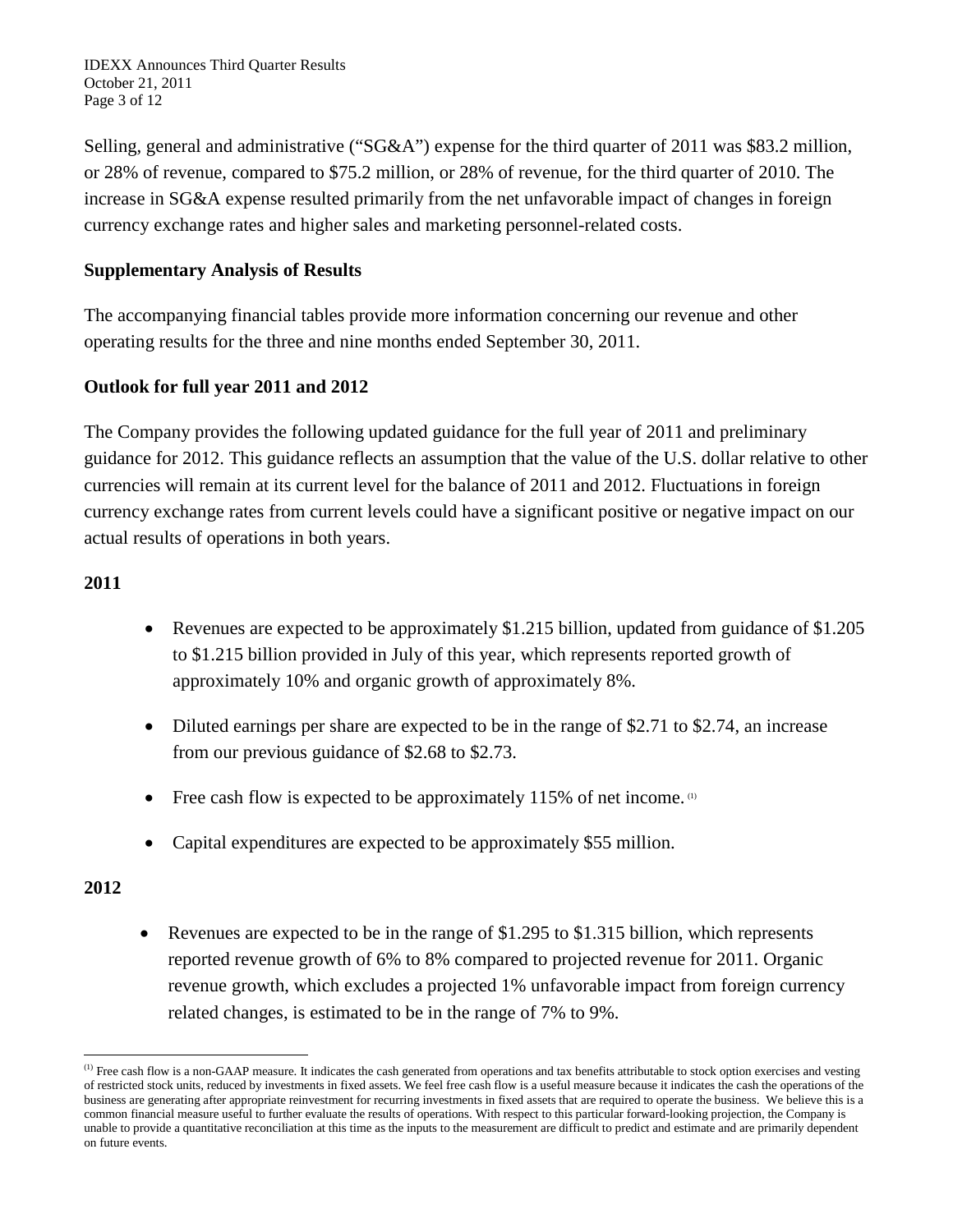IDEXX Announces Third Quarter Results October 21, 2011 Page 3 of 12

Selling, general and administrative ("SG&A") expense for the third quarter of 2011 was \$83.2 million, or 28% of revenue, compared to \$75.2 million, or 28% of revenue, for the third quarter of 2010. The increase in SG&A expense resulted primarily from the net unfavorable impact of changes in foreign currency exchange rates and higher sales and marketing personnel-related costs.

### **Supplementary Analysis of Results**

The accompanying financial tables provide more information concerning our revenue and other operating results for the three and nine months ended September 30, 2011.

### **Outlook for full year 2011 and 2012**

The Company provides the following updated guidance for the full year of 2011 and preliminary guidance for 2012. This guidance reflects an assumption that the value of the U.S. dollar relative to other currencies will remain at its current level for the balance of 2011 and 2012. Fluctuations in foreign currency exchange rates from current levels could have a significant positive or negative impact on our actual results of operations in both years.

### **2011**

- Revenues are expected to be approximately \$1.215 billion, updated from guidance of \$1.205 to \$1.215 billion provided in July of this year, which represents reported growth of approximately 10% and organic growth of approximately 8%.
- Diluted earnings per share are expected to be in the range of \$2.71 to \$2.74, an increase from our previous guidance of \$2.68 to \$2.73.
- Free cash flow is expected to be approximately 115% of net income.  $(1)$
- Capital expenditures are expected to be approximately \$55 million.

### **2012**

• Revenues are expected to be in the range of  $$1.295$  to  $$1.315$  billion, which represents reported revenue growth of 6% to 8% compared to projected revenue for 2011. Organic revenue growth, which excludes a projected 1% unfavorable impact from foreign currency related changes, is estimated to be in the range of 7% to 9%.

<sup>&</sup>lt;sup>(1)</sup> Free cash flow is a non-GAAP measure. It indicates the cash generated from operations and tax benefits attributable to stock option exercises and vesting of restricted stock units, reduced by investments in fixed assets. We feel free cash flow is a useful measure because it indicates the cash the operations of the business are generating after appropriate reinvestment for recurring investments in fixed assets that are required to operate the business. We believe this is a common financial measure useful to further evaluate the results of operations. With respect to this particular forward-looking projection, the Company is unable to provide a quantitative reconciliation at this time as the inputs to the measurement are difficult to predict and estimate and are primarily dependent on future events.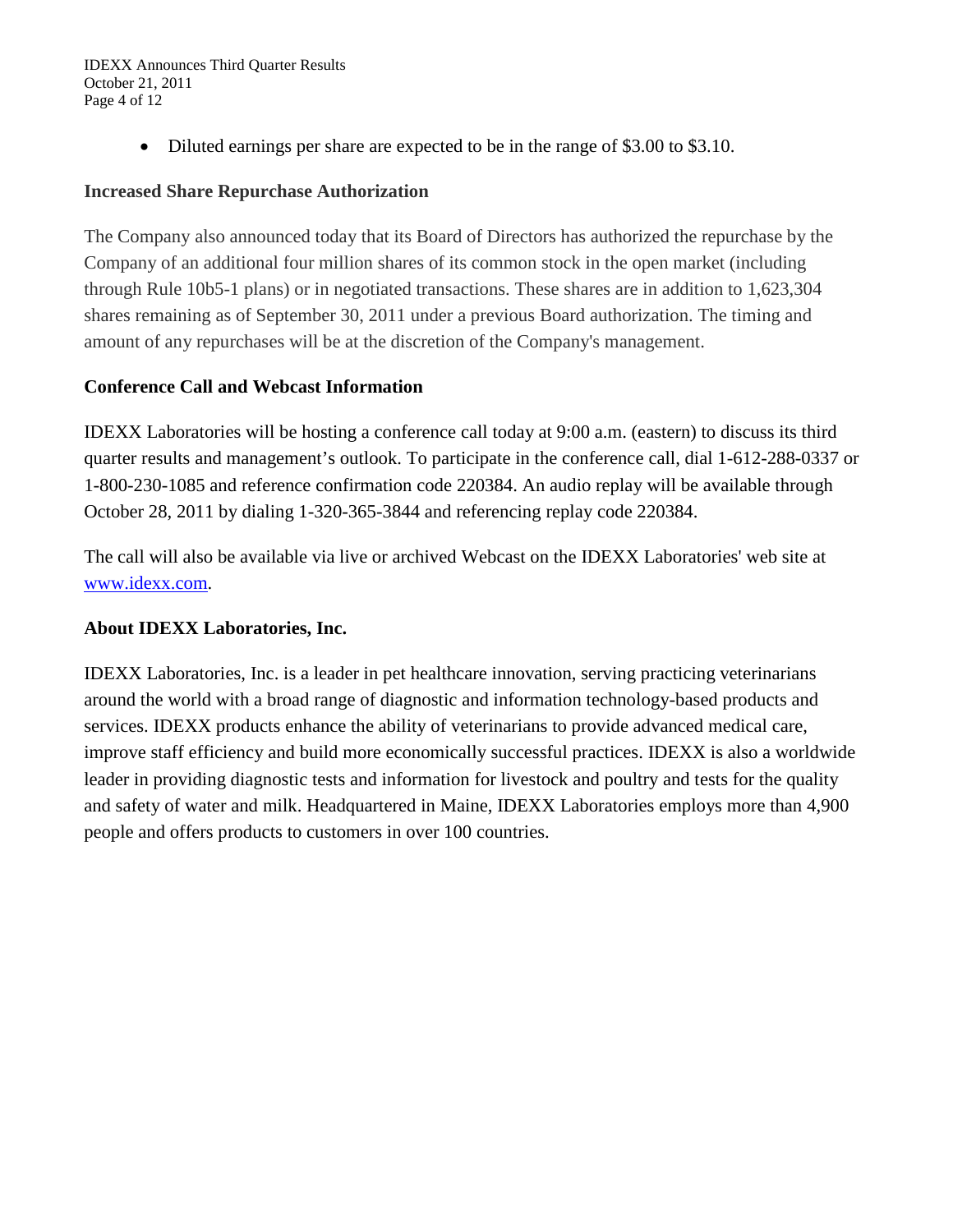IDEXX Announces Third Quarter Results October 21, 2011 Page 4 of 12

• Diluted earnings per share are expected to be in the range of \$3.00 to \$3.10.

### **Increased Share Repurchase Authorization**

The Company also announced today that its Board of Directors has authorized the repurchase by the Company of an additional four million shares of its common stock in the open market (including through Rule 10b5-1 plans) or in negotiated transactions. These shares are in addition to 1,623,304 shares remaining as of September 30, 2011 under a previous Board authorization. The timing and amount of any repurchases will be at the discretion of the Company's management.

### **Conference Call and Webcast Information**

IDEXX Laboratories will be hosting a conference call today at 9:00 a.m. (eastern) to discuss its third quarter results and management's outlook. To participate in the conference call, dial 1-612-288-0337 or 1-800-230-1085 and reference confirmation code 220384. An audio replay will be available through October 28, 2011 by dialing 1-320-365-3844 and referencing replay code 220384.

The call will also be available via live or archived Webcast on the IDEXX Laboratories' web site at [www.idexx.com.](http://www.idexx.com/)

### **About IDEXX Laboratories, Inc.**

IDEXX Laboratories, Inc. is a leader in pet healthcare innovation, serving practicing veterinarians around the world with a broad range of diagnostic and information technology-based products and services. IDEXX products enhance the ability of veterinarians to provide advanced medical care, improve staff efficiency and build more economically successful practices. IDEXX is also a worldwide leader in providing diagnostic tests and information for livestock and poultry and tests for the quality and safety of water and milk. Headquartered in Maine, IDEXX Laboratories employs more than 4,900 people and offers products to customers in over 100 countries.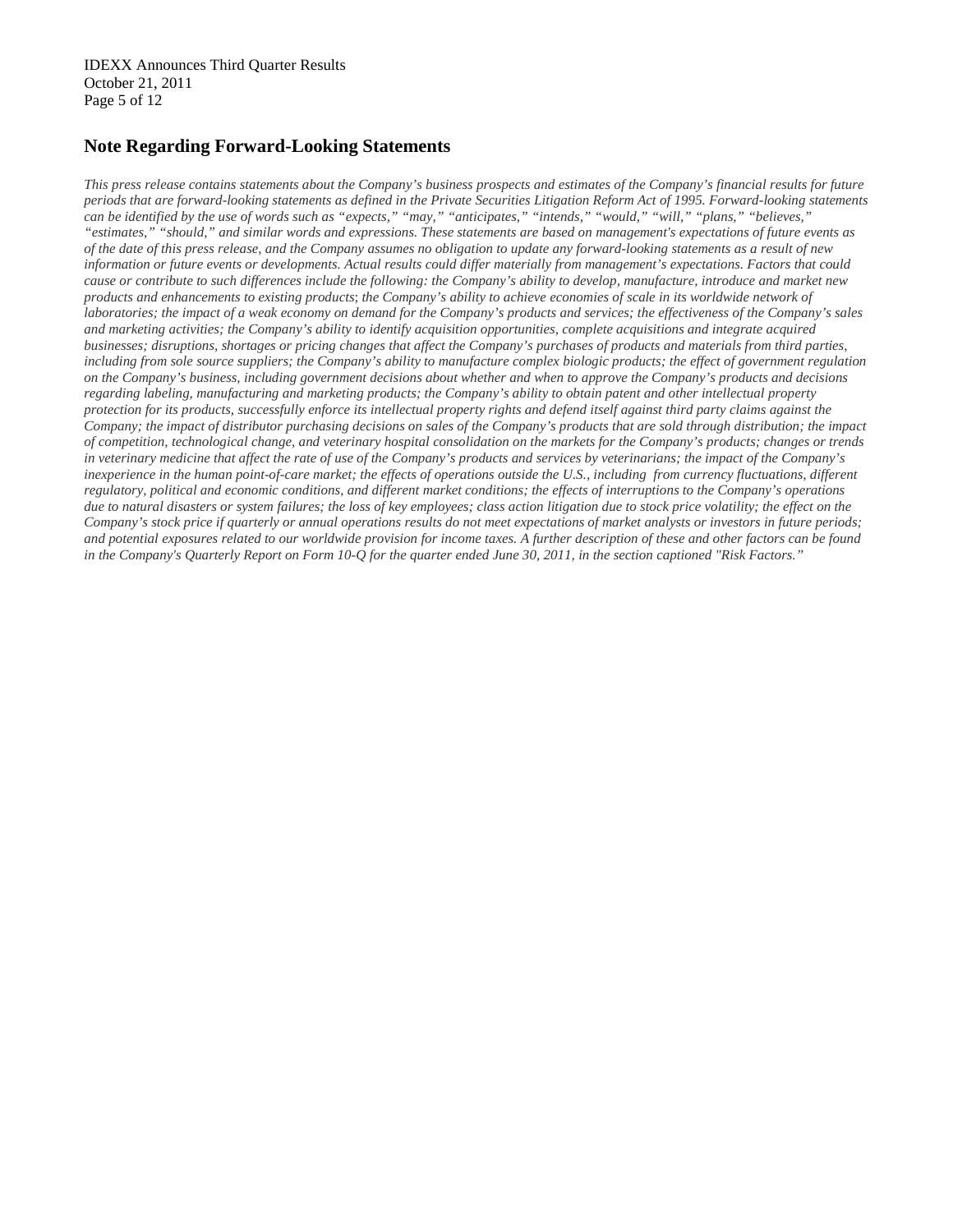#### **Note Regarding Forward-Looking Statements**

*This press release contains statements about the Company's business prospects and estimates of the Company's financial results for future periods that are forward-looking statements as defined in the Private Securities Litigation Reform Act of 1995. Forward-looking statements can be identified by the use of words such as "expects," "may," "anticipates," "intends," "would," "will," "plans," "believes," "estimates," "should," and similar words and expressions. These statements are based on management's expectations of future events as of the date of this press release, and the Company assumes no obligation to update any forward-looking statements as a result of new information or future events or developments. Actual results could differ materially from management's expectations. Factors that could cause or contribute to such differences include the following: the Company's ability to develop, manufacture, introduce and market new products and enhancements to existing products*; *the Company's ability to achieve economies of scale in its worldwide network of laboratories; the impact of a weak economy on demand for the Company's products and services; the effectiveness of the Company's sales and marketing activities; the Company's ability to identify acquisition opportunities, complete acquisitions and integrate acquired businesses; disruptions, shortages or pricing changes that affect the Company's purchases of products and materials from third parties, including from sole source suppliers; the Company's ability to manufacture complex biologic products; the effect of government regulation on the Company's business, including government decisions about whether and when to approve the Company's products and decisions regarding labeling, manufacturing and marketing products; the Company's ability to obtain patent and other intellectual property protection for its products, successfully enforce its intellectual property rights and defend itself against third party claims against the Company; the impact of distributor purchasing decisions on sales of the Company's products that are sold through distribution; the impact of competition, technological change, and veterinary hospital consolidation on the markets for the Company's products; changes or trends in veterinary medicine that affect the rate of use of the Company's products and services by veterinarians; the impact of the Company's*  inexperience in the human point-of-care market; the effects of operations outside the U.S., including from currency fluctuations, different *regulatory, political and economic conditions, and different market conditions; the effects of interruptions to the Company's operations due to natural disasters or system failures; the loss of key employees; class action litigation due to stock price volatility; the effect on the Company's stock price if quarterly or annual operations results do not meet expectations of market analysts or investors in future periods; and potential exposures related to our worldwide provision for income taxes. A further description of these and other factors can be found in the Company's Quarterly Report on Form 10-Q for the quarter ended June 30, 2011, in the section captioned "Risk Factors."*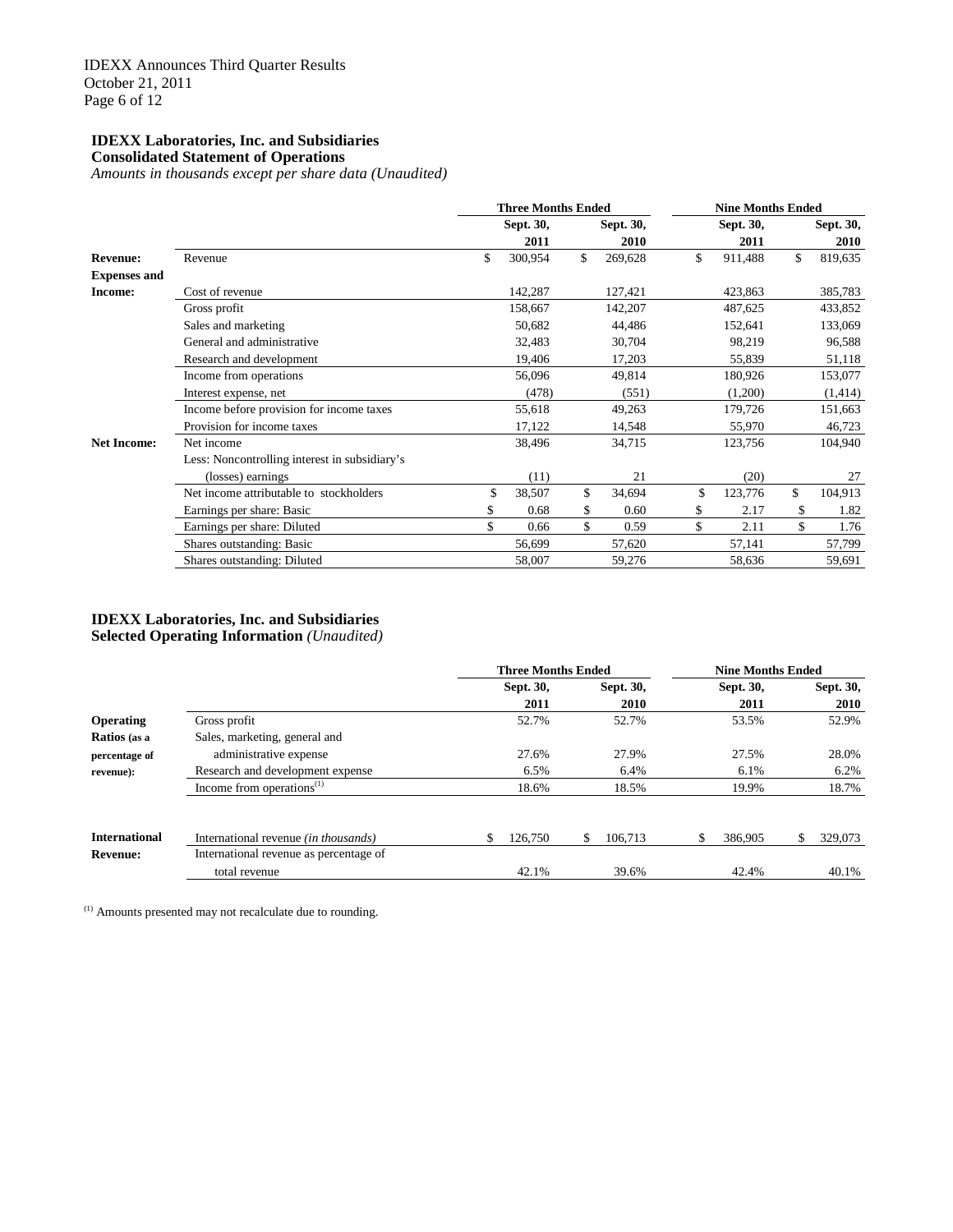#### **IDEXX Laboratories, Inc. and Subsidiaries Consolidated Statement of Operations**

*Amounts in thousands except per share data (Unaudited)*

|                     |                                               | <b>Three Months Ended</b> |               | <b>Nine Months Ended</b> |           |    |           |  |
|---------------------|-----------------------------------------------|---------------------------|---------------|--------------------------|-----------|----|-----------|--|
|                     |                                               | Sept. 30,                 | Sept. 30,     |                          | Sept. 30, |    | Sept. 30, |  |
|                     |                                               | 2011                      | 2010          |                          | 2011      |    | 2010      |  |
| <b>Revenue:</b>     | Revenue                                       | \$<br>300,954             | \$<br>269,628 | \$                       | 911,488   | \$ | 819,635   |  |
| <b>Expenses and</b> |                                               |                           |               |                          |           |    |           |  |
| Income:             | Cost of revenue                               | 142,287                   | 127,421       |                          | 423,863   |    | 385,783   |  |
|                     | Gross profit                                  | 158,667                   | 142,207       |                          | 487,625   |    | 433,852   |  |
|                     | Sales and marketing                           | 50,682                    | 44,486        |                          | 152,641   |    | 133,069   |  |
|                     | General and administrative                    | 32,483                    | 30,704        |                          | 98,219    |    | 96,588    |  |
|                     | Research and development                      | 19,406                    | 17,203        |                          | 55,839    |    | 51,118    |  |
|                     | Income from operations                        | 56,096                    | 49,814        |                          | 180,926   |    | 153,077   |  |
|                     | Interest expense, net                         | (478)                     | (551)         |                          | (1,200)   |    | (1, 414)  |  |
|                     | Income before provision for income taxes      | 55,618                    | 49,263        |                          | 179,726   |    | 151,663   |  |
|                     | Provision for income taxes                    | 17,122                    | 14,548        |                          | 55,970    |    | 46,723    |  |
| <b>Net Income:</b>  | Net income                                    | 38,496                    | 34,715        |                          | 123,756   |    | 104,940   |  |
|                     | Less: Noncontrolling interest in subsidiary's |                           |               |                          |           |    |           |  |
|                     | (losses) earnings                             | (11)                      | 21            |                          | (20)      |    | 27        |  |
|                     | Net income attributable to stockholders       | \$<br>38,507              | \$<br>34,694  | \$                       | 123,776   | \$ | 104,913   |  |
|                     | Earnings per share: Basic                     | \$<br>0.68                | \$<br>0.60    | \$                       | 2.17      | \$ | 1.82      |  |
|                     | Earnings per share: Diluted                   | \$<br>0.66                | \$<br>0.59    | \$                       | 2.11      | \$ | 1.76      |  |
|                     | Shares outstanding: Basic                     | 56,699                    | 57,620        |                          | 57,141    |    | 57,799    |  |
|                     | Shares outstanding: Diluted                   | 58,007                    | 59,276        |                          | 58,636    |    | 59,691    |  |

#### **IDEXX Laboratories, Inc. and Subsidiaries Selected Operating Information** *(Unaudited)*

**Three Months Ended Nine Months Ended Sept. 30, Sept. 30, Sept. 30, Sept. 30, 2011 2010 2011 2010 Operating** Gross profit 62.9% 52.7% 52.7% 53.5% 52.9% 52.9% **Ratios (as a** Sales, marketing, general and **percentage of** administrative expense 27.6% 27.6% 27.9% 27.5% 28.0% **revenue):** Research and development expense 6.5% 6.4% 6.2% 6.2% 6.2% Income from operations<sup>(1)</sup> 18.6% 18.5% 19.9% 18.7% **International** International revenue *(in thousands)* \$ 126,750 \$ 106,713 \$ 386,905 \$ 329,073 **Revenue:** International revenue as percentage of total revenue 42.1% 39.6% 42.4% 40.1%

(1) Amounts presented may not recalculate due to rounding.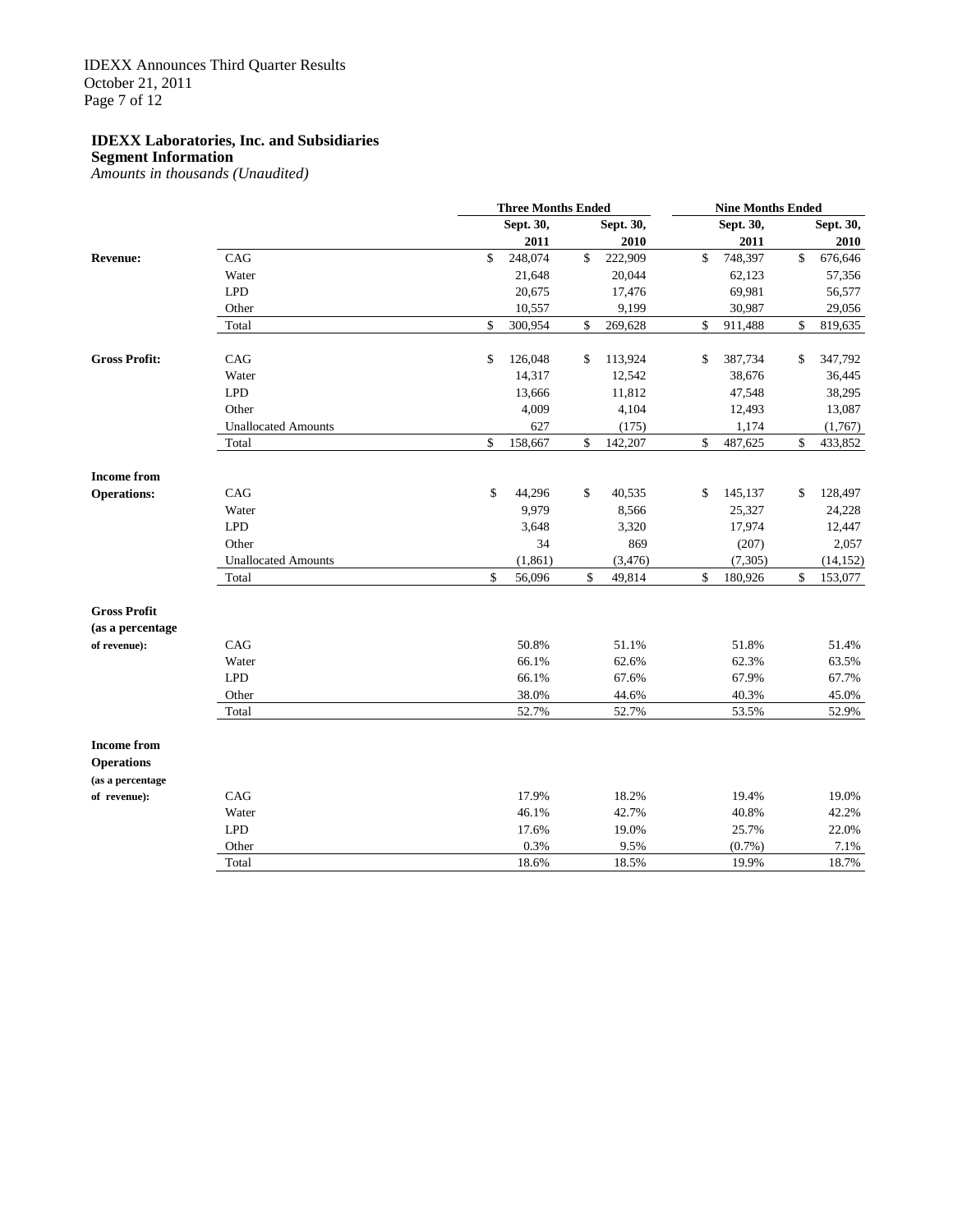**Segment Information**

*Amounts in thousands (Unaudited)*

|                      |                            |                    | <b>Three Months Ended</b> |    |           |    |           | <b>Nine Months Ended</b> |           |  |  |  |
|----------------------|----------------------------|--------------------|---------------------------|----|-----------|----|-----------|--------------------------|-----------|--|--|--|
|                      |                            |                    | Sept. 30,                 |    | Sept. 30, |    | Sept. 30, |                          | Sept. 30, |  |  |  |
|                      |                            |                    | 2011                      |    | 2010      |    | 2011      |                          | 2010      |  |  |  |
| <b>Revenue:</b>      | CAG                        | $\mathbf{\hat{S}}$ | 248,074                   | \$ | 222,909   | \$ | 748,397   | $\mathsf{\$}$            | 676,646   |  |  |  |
|                      | Water                      |                    | 21,648                    |    | 20,044    |    | 62,123    |                          | 57,356    |  |  |  |
|                      | <b>LPD</b>                 |                    | 20,675                    |    | 17,476    |    | 69,981    |                          | 56,577    |  |  |  |
|                      | Other                      |                    | 10,557                    |    | 9,199     |    | 30,987    |                          | 29,056    |  |  |  |
|                      | Total                      | \$                 | 300,954                   | \$ | 269,628   | \$ | 911,488   | \$                       | 819,635   |  |  |  |
| <b>Gross Profit:</b> | CAG                        | \$                 | 126,048                   | \$ | 113,924   | \$ | 387,734   | \$                       | 347,792   |  |  |  |
|                      | Water                      |                    | 14,317                    |    | 12,542    |    | 38,676    |                          | 36,445    |  |  |  |
|                      | <b>LPD</b>                 |                    | 13,666                    |    | 11,812    |    | 47,548    |                          | 38,295    |  |  |  |
|                      | Other                      |                    | 4,009                     |    | 4,104     |    | 12,493    |                          | 13,087    |  |  |  |
|                      | <b>Unallocated Amounts</b> |                    | 627                       |    | (175)     |    | 1,174     |                          | (1,767)   |  |  |  |
|                      | Total                      | \$                 | 158,667                   | \$ | 142,207   | \$ | 487,625   | \$                       | 433,852   |  |  |  |
| <b>Income from</b>   |                            |                    |                           |    |           |    |           |                          |           |  |  |  |
| <b>Operations:</b>   | CAG                        | \$                 | 44,296                    | \$ | 40,535    | \$ | 145,137   | \$                       | 128,497   |  |  |  |
|                      | Water                      |                    | 9,979                     |    | 8,566     |    | 25,327    |                          | 24,228    |  |  |  |
|                      | <b>LPD</b>                 |                    | 3,648                     |    | 3,320     |    | 17,974    |                          | 12,447    |  |  |  |
|                      | Other                      |                    | 34                        |    | 869       |    | (207)     |                          | 2,057     |  |  |  |
|                      | <b>Unallocated Amounts</b> |                    | (1, 861)                  |    | (3, 476)  |    | (7, 305)  |                          | (14, 152) |  |  |  |
|                      | Total                      | \$                 | 56,096                    | \$ | 49,814    | \$ | 180,926   | \$                       | 153,077   |  |  |  |
| <b>Gross Profit</b>  |                            |                    |                           |    |           |    |           |                          |           |  |  |  |
| (as a percentage     |                            |                    |                           |    |           |    |           |                          |           |  |  |  |
| of revenue):         | CAG                        |                    | 50.8%                     |    | 51.1%     |    | 51.8%     |                          | 51.4%     |  |  |  |
|                      | Water                      |                    | 66.1%                     |    | 62.6%     |    | 62.3%     |                          | 63.5%     |  |  |  |
|                      | <b>LPD</b>                 |                    | 66.1%                     |    | 67.6%     |    | 67.9%     |                          | 67.7%     |  |  |  |
|                      | Other                      |                    | 38.0%                     |    | 44.6%     |    | 40.3%     |                          | 45.0%     |  |  |  |
|                      | Total                      |                    | 52.7%                     |    | 52.7%     |    | 53.5%     |                          | 52.9%     |  |  |  |
| <b>Income from</b>   |                            |                    |                           |    |           |    |           |                          |           |  |  |  |
| <b>Operations</b>    |                            |                    |                           |    |           |    |           |                          |           |  |  |  |
| (as a percentage     |                            |                    |                           |    |           |    |           |                          |           |  |  |  |
| of revenue):         | CAG                        |                    | 17.9%                     |    | 18.2%     |    | 19.4%     |                          | 19.0%     |  |  |  |
|                      | Water                      |                    | 46.1%                     |    | 42.7%     |    | 40.8%     |                          | 42.2%     |  |  |  |
|                      | <b>LPD</b>                 |                    | 17.6%                     |    | 19.0%     |    | 25.7%     |                          | 22.0%     |  |  |  |
|                      | Other                      |                    | 0.3%                      |    | 9.5%      |    | $(0.7\%)$ |                          | 7.1%      |  |  |  |
|                      | Total                      |                    | 18.6%                     |    | 18.5%     |    | 19.9%     |                          | 18.7%     |  |  |  |
|                      |                            |                    |                           |    |           |    |           |                          |           |  |  |  |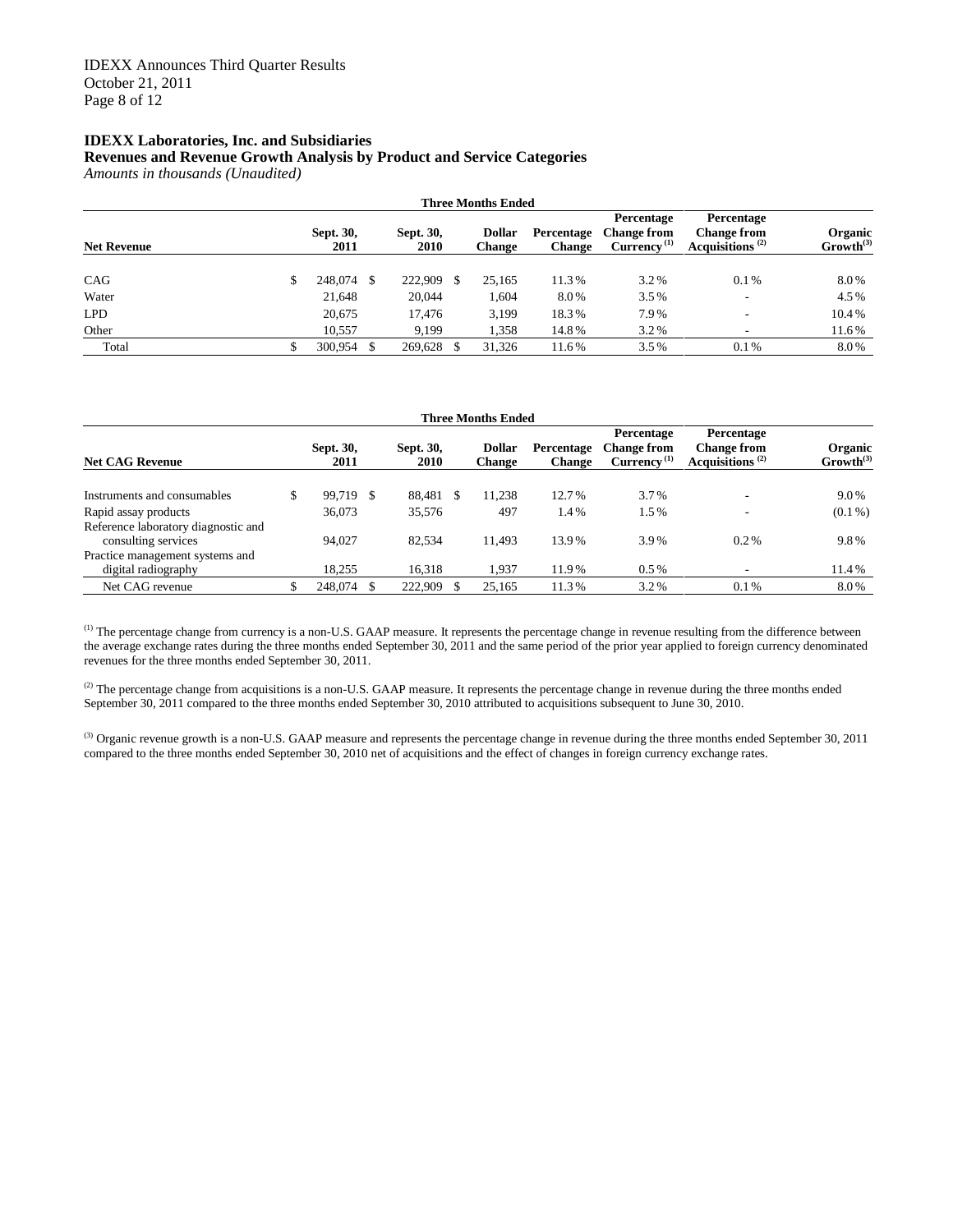#### **Revenues and Revenue Growth Analysis by Product and Service Categories**

*Amounts in thousands (Unaudited)*

|                    | <b>Three Months Ended</b> |                   |    |                   |     |                                |                      |                                                   |                                                                              |                           |  |  |
|--------------------|---------------------------|-------------------|----|-------------------|-----|--------------------------------|----------------------|---------------------------------------------------|------------------------------------------------------------------------------|---------------------------|--|--|
| <b>Net Revenue</b> |                           | Sept. 30,<br>2011 |    | Sept. 30,<br>2010 |     | <b>Dollar</b><br><b>Change</b> | Percentage<br>Change | Percentage<br><b>Change from</b><br>$Current(1)}$ | Percentage<br><b>Change from</b><br>Acquisitions <sup><math>(2)</math></sup> | Organic<br>$Growth^{(3)}$ |  |  |
| CAG                | S                         | 248,074           | -S | 222,909           | \$. | 25,165                         | 11.3%                | 3.2%                                              | 0.1%                                                                         | 8.0%                      |  |  |
| Water              |                           | 21,648            |    | 20,044            |     | 1,604                          | 8.0%                 | 3.5%                                              | -                                                                            | 4.5%                      |  |  |
| <b>LPD</b>         |                           | 20,675            |    | 17.476            |     | 3,199                          | 18.3%                | 7.9%                                              | -                                                                            | 10.4%                     |  |  |
| Other              |                           | 10.557            |    | 9.199             |     | 1,358                          | 14.8%                | 3.2%                                              | ٠                                                                            | 11.6%                     |  |  |
| Total              |                           | 300,954           |    | 269.628           |     | 31.326                         | 11.6%                | 3.5%                                              | 0.1%                                                                         | 8.0%                      |  |  |

|                                                            | <b>Three Months Ended</b> |                   |    |                   |  |                                |                             |                                                                          |                                                                 |                                  |  |  |  |
|------------------------------------------------------------|---------------------------|-------------------|----|-------------------|--|--------------------------------|-----------------------------|--------------------------------------------------------------------------|-----------------------------------------------------------------|----------------------------------|--|--|--|
| <b>Net CAG Revenue</b>                                     |                           | Sept. 30,<br>2011 |    | Sept. 30,<br>2010 |  | <b>Dollar</b><br><b>Change</b> | Percentage<br><b>Change</b> | Percentage<br><b>Change from</b><br>Currency <sup><math>(1)</math></sup> | Percentage<br><b>Change from</b><br>Acquisitions <sup>(2)</sup> | Organic<br>Growth <sup>(3)</sup> |  |  |  |
| Instruments and consumables                                |                           | 99.719            | -S | 88,481            |  | 11,238                         | 12.7%                       | 3.7%                                                                     |                                                                 | 9.0%                             |  |  |  |
| Rapid assay products                                       |                           | 36,073            |    | 35,576            |  | 497                            | 1.4%                        | 1.5%                                                                     |                                                                 | $(0.1\%)$                        |  |  |  |
| Reference laboratory diagnostic and<br>consulting services |                           | 94.027            |    | 82.534            |  | 11.493                         | 13.9%                       | 3.9%                                                                     | $0.2\%$                                                         | 9.8%                             |  |  |  |
| Practice management systems and<br>digital radiography     |                           | 18,255            |    | 16,318            |  | 1.937                          | 11.9%                       | $0.5\%$                                                                  |                                                                 | 11.4%                            |  |  |  |
| Net CAG revenue                                            |                           | 248,074           |    | 222,909           |  | 25,165                         | 11.3%                       | 3.2%                                                                     | $0.1\%$                                                         | 8.0%                             |  |  |  |

(1) The percentage change from currency is a non-U.S. GAAP measure. It represents the percentage change in revenue resulting from the difference between the average exchange rates during the three months ended September 30, 2011 and the same period of the prior year applied to foreign currency denominated revenues for the three months ended September 30, 2011.

<sup>(2)</sup> The percentage change from acquisitions is a non-U.S. GAAP measure. It represents the percentage change in revenue during the three months ended September 30, 2011 compared to the three months ended September 30, 2010 attributed to acquisitions subsequent to June 30, 2010.

(3) Organic revenue growth is a non-U.S. GAAP measure and represents the percentage change in revenue during the three months ended September 30, 2011 compared to the three months ended September 30, 2010 net of acquisitions and the effect of changes in foreign currency exchange rates.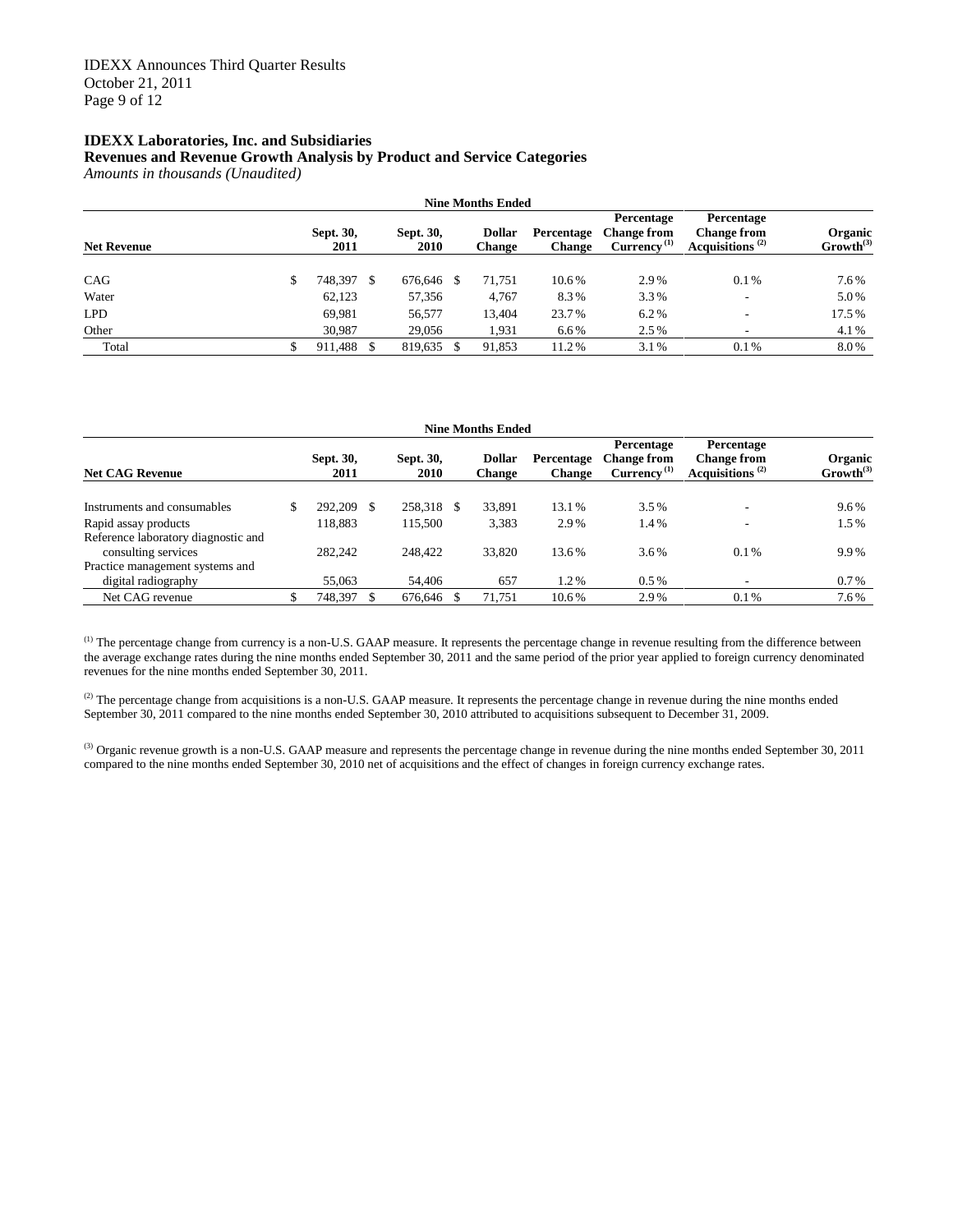#### **Revenues and Revenue Growth Analysis by Product and Service Categories**

*Amounts in thousands (Unaudited)*

|                    | <b>Nine Months Ended</b> |                   |    |                   |    |                                |                             |                                                             |                                                        |                           |  |  |  |
|--------------------|--------------------------|-------------------|----|-------------------|----|--------------------------------|-----------------------------|-------------------------------------------------------------|--------------------------------------------------------|---------------------------|--|--|--|
| <b>Net Revenue</b> |                          | Sept. 30,<br>2011 |    | Sept. 30,<br>2010 |    | <b>Dollar</b><br><b>Change</b> | Percentage<br><b>Change</b> | Percentage<br><b>Change from</b><br>Currency <sup>(1)</sup> | Percentage<br><b>Change from</b><br>Acquisitions $(2)$ | Organic<br>$Growth^{(3)}$ |  |  |  |
| CAG                | S                        | 748,397           | -S | 676,646           | -S | 71,751                         | 10.6%                       | 2.9%                                                        | 0.1%                                                   | 7.6%                      |  |  |  |
| Water              |                          | 62,123            |    | 57,356            |    | 4.767                          | 8.3%                        | 3.3%                                                        | -                                                      | 5.0%                      |  |  |  |
| <b>LPD</b>         |                          | 69.981            |    | 56,577            |    | 13.404                         | 23.7%                       | 6.2%                                                        | -                                                      | 17.5%                     |  |  |  |
| Other              |                          | 30,987            |    | 29,056            |    | 1,931                          | 6.6%                        | 2.5%                                                        | ٠                                                      | 4.1%                      |  |  |  |
| Total              |                          | 911.488           |    | 819.635           |    | 91,853                         | 11.2%                       | 3.1%                                                        | 0.1%                                                   | 8.0%                      |  |  |  |

|                                                            | <b>Nine Months Ended</b> |                   |   |                   |    |                                |                             |                                                             |                                                                 |                           |  |  |  |
|------------------------------------------------------------|--------------------------|-------------------|---|-------------------|----|--------------------------------|-----------------------------|-------------------------------------------------------------|-----------------------------------------------------------------|---------------------------|--|--|--|
| <b>Net CAG Revenue</b>                                     |                          | Sept. 30,<br>2011 |   | Sept. 30,<br>2010 |    | <b>Dollar</b><br><b>Change</b> | Percentage<br><b>Change</b> | Percentage<br><b>Change from</b><br>Currency <sup>(1)</sup> | Percentage<br><b>Change from</b><br>Acquisitions <sup>(2)</sup> | Organic<br>$Growth^{(3)}$ |  |  |  |
| Instruments and consumables                                |                          | 292,209           | S | 258,318           | -S | 33,891                         | 13.1%                       | 3.5%                                                        |                                                                 | 9.6%                      |  |  |  |
| Rapid assay products                                       |                          | 118.883           |   | 115.500           |    | 3,383                          | 2.9%                        | 1.4%                                                        |                                                                 | 1.5%                      |  |  |  |
| Reference laboratory diagnostic and<br>consulting services |                          | 282,242           |   | 248,422           |    | 33,820                         | 13.6%                       | 3.6%                                                        | $0.1\%$                                                         | 9.9%                      |  |  |  |
| Practice management systems and<br>digital radiography     |                          | 55,063            |   | 54,406            |    | 657                            | 1.2%                        | $0.5\%$                                                     |                                                                 | $0.7\%$                   |  |  |  |
| Net CAG revenue                                            |                          | 748,397           |   | 676,646           |    | 71.751                         | 10.6%                       | 2.9%                                                        | 0.1%                                                            | 7.6%                      |  |  |  |

<sup>(1)</sup> The percentage change from currency is a non-U.S. GAAP measure. It represents the percentage change in revenue resulting from the difference between the average exchange rates during the nine months ended September 30, 2011 and the same period of the prior year applied to foreign currency denominated revenues for the nine months ended September 30, 2011.

(2) The percentage change from acquisitions is a non-U.S. GAAP measure. It represents the percentage change in revenue during the nine months ended September 30, 2011 compared to the nine months ended September 30, 2010 attributed to acquisitions subsequent to December 31, 2009.

<sup>(3)</sup> Organic revenue growth is a non-U.S. GAAP measure and represents the percentage change in revenue during the nine months ended September 30, 2011 compared to the nine months ended September 30, 2010 net of acquisitions and the effect of changes in foreign currency exchange rates.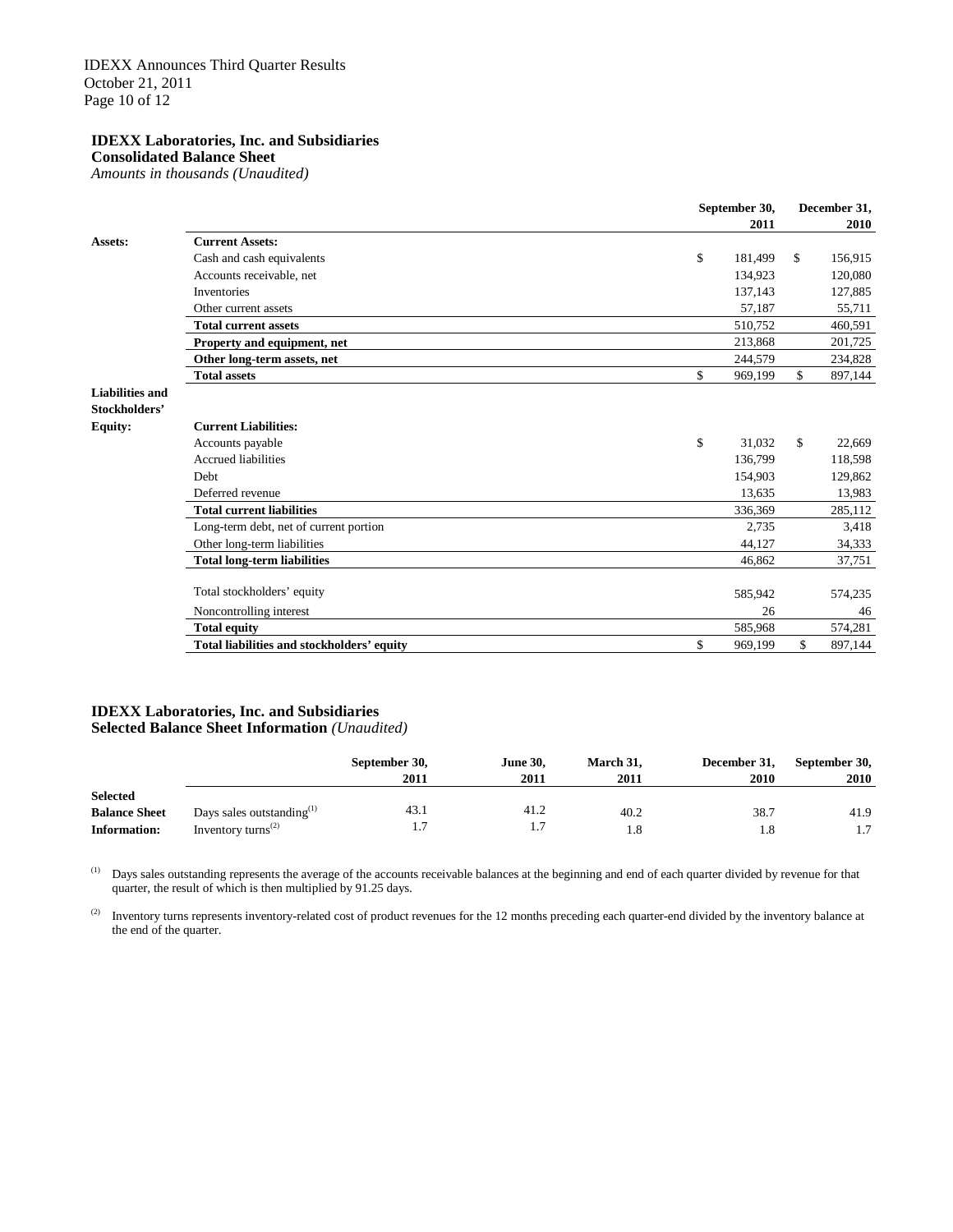**Consolidated Balance Sheet**

*Amounts in thousands (Unaudited)*

|                        |                                            | September 30, | December 31,           |
|------------------------|--------------------------------------------|---------------|------------------------|
|                        |                                            | 2011          | 2010                   |
| Assets:                | <b>Current Assets:</b>                     |               |                        |
|                        | Cash and cash equivalents                  | \$<br>181,499 | \$<br>156,915          |
|                        | Accounts receivable, net                   | 134,923       | 120,080                |
|                        | Inventories                                | 137,143       | 127,885                |
|                        | Other current assets                       | 57,187        | 55,711                 |
|                        | <b>Total current assets</b>                | 510,752       | 460,591                |
|                        | Property and equipment, net                | 213,868       | 201,725                |
|                        | Other long-term assets, net                | 244,579       | 234,828                |
|                        | <b>Total assets</b>                        | \$<br>969,199 | \$<br>897,144          |
| <b>Liabilities and</b> |                                            |               |                        |
| Stockholders'          |                                            |               |                        |
| <b>Equity:</b>         | <b>Current Liabilities:</b>                |               |                        |
|                        | Accounts payable                           | \$<br>31.032  | $\mathbb{S}$<br>22,669 |
|                        | <b>Accrued liabilities</b>                 | 136,799       | 118,598                |
|                        | <b>Debt</b>                                | 154,903       | 129,862                |
|                        | Deferred revenue                           | 13,635        | 13,983                 |
|                        | <b>Total current liabilities</b>           | 336,369       | 285,112                |
|                        | Long-term debt, net of current portion     | 2,735         | 3,418                  |
|                        | Other long-term liabilities                | 44.127        | 34,333                 |
|                        | <b>Total long-term liabilities</b>         | 46,862        | 37,751                 |
|                        | Total stockholders' equity                 |               |                        |
|                        |                                            | 585,942       | 574,235                |
|                        | Noncontrolling interest                    | 26            | 46                     |
|                        | <b>Total equity</b>                        | 585,968       | 574,281                |
|                        | Total liabilities and stockholders' equity | \$<br>969,199 | \$<br>897,144          |

#### **IDEXX Laboratories, Inc. and Subsidiaries Selected Balance Sheet Information** *(Unaudited)*

|                      |                                             | September 30,<br>2011 | <b>June 30.</b><br>2011 | March 31,<br>2011 | December 31,<br><b>2010</b> | September 30,<br>2010 |
|----------------------|---------------------------------------------|-----------------------|-------------------------|-------------------|-----------------------------|-----------------------|
| <b>Selected</b>      |                                             |                       |                         |                   |                             |                       |
| <b>Balance Sheet</b> | Days sales outstanding $(1)$                | 43.1                  | 41.2                    | 40.2              | 38.7                        | 41.9                  |
| <b>Information:</b>  | Inventory turns <sup><math>(2)</math></sup> |                       | I.                      | 1.8               | 1.8                         | 1.7                   |

 $(1)$  Days sales outstanding represents the average of the accounts receivable balances at the beginning and end of each quarter divided by revenue for that quarter, the result of which is then multiplied by 91.25 days.

(2) Inventory turns represents inventory-related cost of product revenues for the 12 months preceding each quarter-end divided by the inventory balance at the end of the quarter.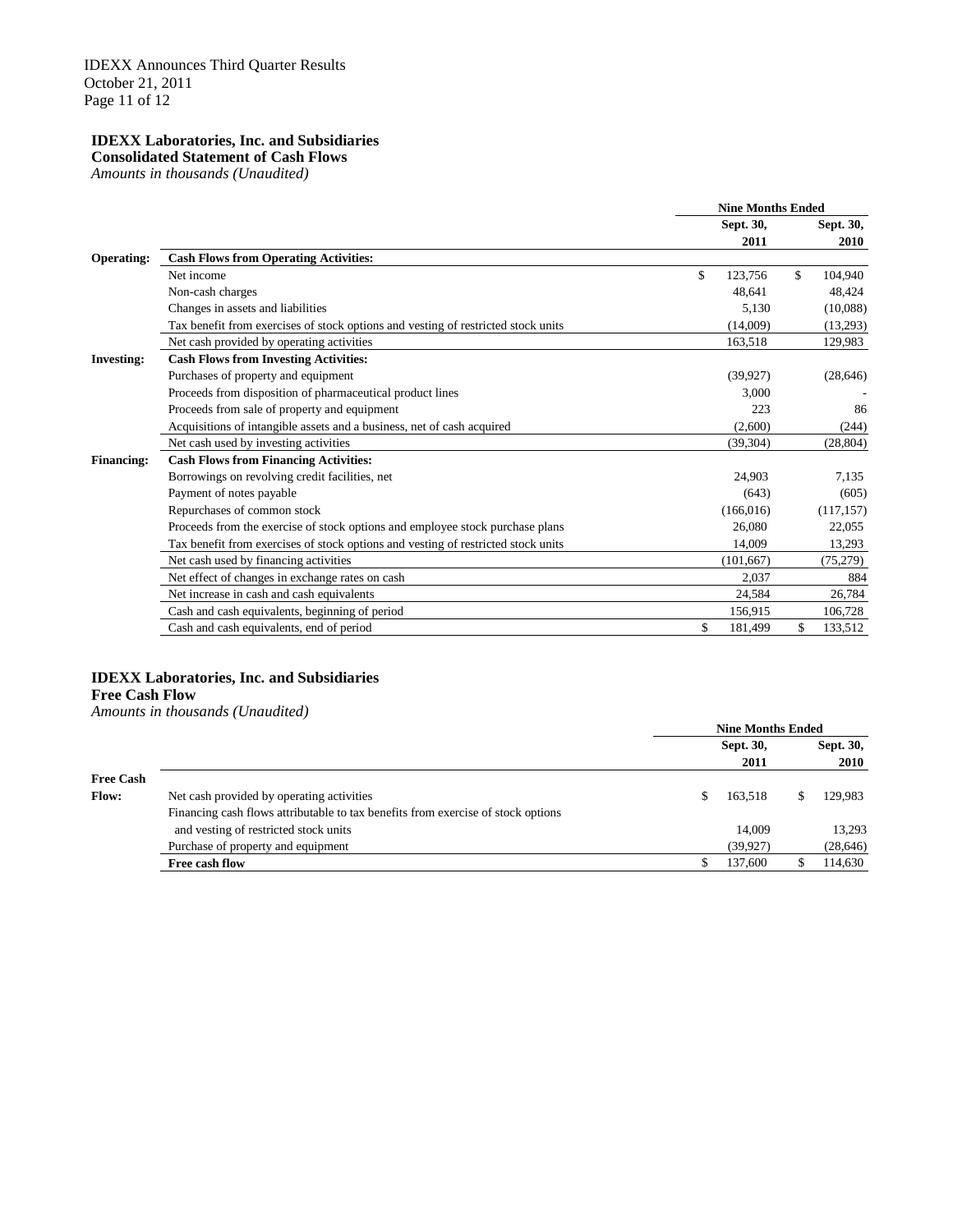#### **Consolidated Statement of Cash Flows**

*Amounts in thousands (Unaudited)*

|                   |                                                                                   | <b>Nine Months Ended</b> |                          |
|-------------------|-----------------------------------------------------------------------------------|--------------------------|--------------------------|
|                   |                                                                                   | Sept. 30,<br>2011        | <b>Sept. 30,</b><br>2010 |
| Operating:        | <b>Cash Flows from Operating Activities:</b>                                      |                          |                          |
|                   | Net income                                                                        | \$<br>123,756            | \$<br>104,940            |
|                   | Non-cash charges                                                                  | 48,641                   | 48,424                   |
|                   | Changes in assets and liabilities                                                 | 5,130                    | (10,088)                 |
|                   | Tax benefit from exercises of stock options and vesting of restricted stock units | (14,009)                 | (13,293)                 |
|                   | Net cash provided by operating activities                                         | 163,518                  | 129,983                  |
| <b>Investing:</b> | <b>Cash Flows from Investing Activities:</b>                                      |                          |                          |
|                   | Purchases of property and equipment                                               | (39, 927)                | (28, 646)                |
|                   | Proceeds from disposition of pharmaceutical product lines                         | 3.000                    |                          |
|                   | Proceeds from sale of property and equipment                                      | 223                      | 86                       |
|                   | Acquisitions of intangible assets and a business, net of cash acquired            | (2,600)                  | (244)                    |
|                   | Net cash used by investing activities                                             | (39, 304)                | (28, 804)                |
| <b>Financing:</b> | <b>Cash Flows from Financing Activities:</b>                                      |                          |                          |
|                   | Borrowings on revolving credit facilities, net                                    | 24.903                   | 7.135                    |
|                   | Payment of notes payable                                                          | (643)                    | (605)                    |
|                   | Repurchases of common stock                                                       | (166, 016)               | (117, 157)               |
|                   | Proceeds from the exercise of stock options and employee stock purchase plans     | 26,080                   | 22,055                   |
|                   | Tax benefit from exercises of stock options and vesting of restricted stock units | 14.009                   | 13,293                   |
|                   | Net cash used by financing activities                                             | (101, 667)               | (75, 279)                |
|                   | Net effect of changes in exchange rates on cash                                   | 2,037                    | 884                      |
|                   | Net increase in cash and cash equivalents                                         | 24,584                   | 26,784                   |
|                   | Cash and cash equivalents, beginning of period                                    | 156,915                  | 106,728                  |
|                   | Cash and cash equivalents, end of period                                          | \$<br>181,499            | \$<br>133,512            |

#### **IDEXX Laboratories, Inc. and Subsidiaries**

#### **Free Cash Flow**

*Amounts in thousands (Unaudited)*

|                  |                                                                                  | <b>Nine Months Ended</b> |   |             |
|------------------|----------------------------------------------------------------------------------|--------------------------|---|-------------|
|                  |                                                                                  | Sept. 30,                |   | Sept. 30,   |
|                  |                                                                                  | 2011                     |   | <b>2010</b> |
| <b>Free Cash</b> |                                                                                  |                          |   |             |
| <b>Flow:</b>     | Net cash provided by operating activities                                        | 163.518                  | S | 129,983     |
|                  | Financing cash flows attributable to tax benefits from exercise of stock options |                          |   |             |
|                  | and vesting of restricted stock units                                            | 14,009                   |   | 13,293      |
|                  | Purchase of property and equipment                                               | (39, 927)                |   | (28, 646)   |
|                  | Free cash flow                                                                   | 137,600                  |   | 114,630     |